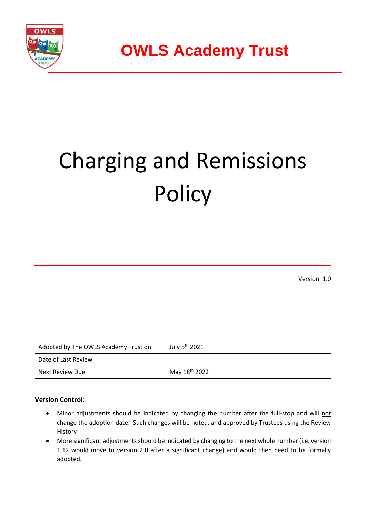

# Charging and Remissions **Policy**

Version: 1.0

| Adopted by The OWLS Academy Trust on | July 5 <sup>th</sup> 2021 |
|--------------------------------------|---------------------------|
| Date of Last Review                  |                           |
| Next Review Due                      | May 18 <sup>th</sup> 2022 |

#### **Version Control**:

- Minor adjustments should be indicated by changing the number after the full-stop and will not change the adoption date. Such changes will be noted, and approved by Trustees using the Review History
- More significant adjustments should be indicated by changing to the next whole number (i.e. version 1.12 would move to version 2.0 after a significant change) and would then need to be formally adopted.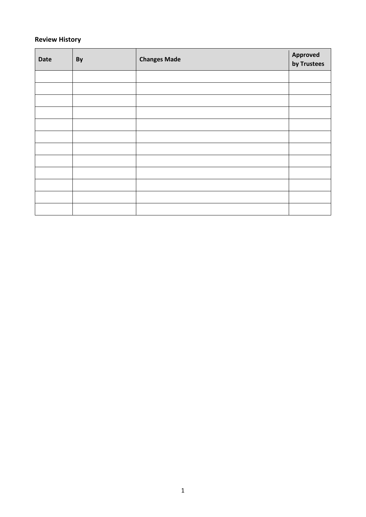#### **Review History**

| <b>Date</b> | By | <b>Changes Made</b> | Approved<br>by Trustees |
|-------------|----|---------------------|-------------------------|
|             |    |                     |                         |
|             |    |                     |                         |
|             |    |                     |                         |
|             |    |                     |                         |
|             |    |                     |                         |
|             |    |                     |                         |
|             |    |                     |                         |
|             |    |                     |                         |
|             |    |                     |                         |
|             |    |                     |                         |
|             |    |                     |                         |
|             |    |                     |                         |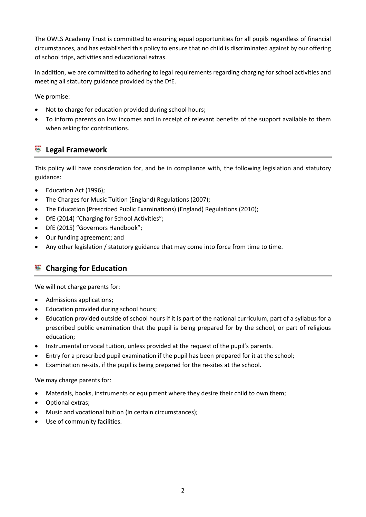The OWLS Academy Trust is committed to ensuring equal opportunities for all pupils regardless of financial circumstances, and has established this policy to ensure that no child is discriminated against by our offering of school trips, activities and educational extras.

In addition, we are committed to adhering to legal requirements regarding charging for school activities and meeting all statutory guidance provided by the DfE.

We promise:

- Not to charge for education provided during school hours;
- To inform parents on low incomes and in receipt of relevant benefits of the support available to them when asking for contributions.

## **Legal Framework**

This policy will have consideration for, and be in compliance with, the following legislation and statutory guidance:

- Education Act (1996);
- The Charges for Music Tuition (England) Regulations (2007);
- The Education (Prescribed Public Examinations) (England) Regulations (2010);
- DfE (2014) "Charging for School Activities";
- DfE (2015) "Governors Handbook";
- Our funding agreement; and
- Any other legislation / statutory guidance that may come into force from time to time.

## **Charging for Education**

We will not charge parents for:

- Admissions applications;
- Education provided during school hours;
- Education provided outside of school hours if it is part of the national curriculum, part of a syllabus for a prescribed public examination that the pupil is being prepared for by the school, or part of religious education;
- Instrumental or vocal tuition, unless provided at the request of the pupil's parents.
- Entry for a prescribed pupil examination if the pupil has been prepared for it at the school;
- Examination re-sits, if the pupil is being prepared for the re-sites at the school.

We may charge parents for:

- Materials, books, instruments or equipment where they desire their child to own them;
- Optional extras;
- Music and vocational tuition (in certain circumstances);
- Use of community facilities.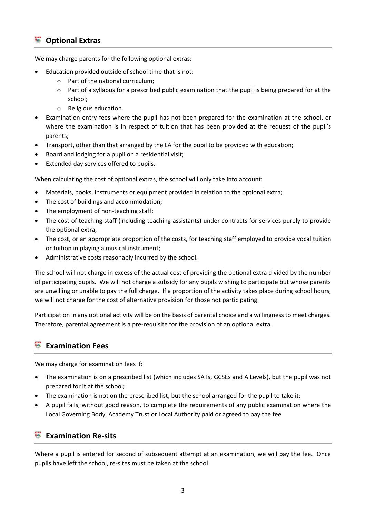## **Optional Extras**

We may charge parents for the following optional extras:

- Education provided outside of school time that is not:
	- o Part of the national curriculum;
	- $\circ$  Part of a syllabus for a prescribed public examination that the pupil is being prepared for at the school;
	- o Religious education.
- Examination entry fees where the pupil has not been prepared for the examination at the school, or where the examination is in respect of tuition that has been provided at the request of the pupil's parents;
- Transport, other than that arranged by the LA for the pupil to be provided with education;
- Board and lodging for a pupil on a residential visit;
- Extended day services offered to pupils.

When calculating the cost of optional extras, the school will only take into account:

- Materials, books, instruments or equipment provided in relation to the optional extra;
- The cost of buildings and accommodation;
- The employment of non-teaching staff;
- The cost of teaching staff (including teaching assistants) under contracts for services purely to provide the optional extra;
- The cost, or an appropriate proportion of the costs, for teaching staff employed to provide vocal tuition or tuition in playing a musical instrument;
- Administrative costs reasonably incurred by the school.

The school will not charge in excess of the actual cost of providing the optional extra divided by the number of participating pupils. We will not charge a subsidy for any pupils wishing to participate but whose parents are unwilling or unable to pay the full charge. If a proportion of the activity takes place during school hours, we will not charge for the cost of alternative provision for those not participating.

Participation in any optional activity will be on the basis of parental choice and a willingness to meet charges. Therefore, parental agreement is a pre-requisite for the provision of an optional extra.

## **Examination Fees**

We may charge for examination fees if:

- The examination is on a prescribed list (which includes SATs, GCSEs and A Levels), but the pupil was not prepared for it at the school;
- The examination is not on the prescribed list, but the school arranged for the pupil to take it;
- A pupil fails, without good reason, to complete the requirements of any public examination where the Local Governing Body, Academy Trust or Local Authority paid or agreed to pay the fee

## **Examination Re-sits**

Where a pupil is entered for second of subsequent attempt at an examination, we will pay the fee. Once pupils have left the school, re-sites must be taken at the school.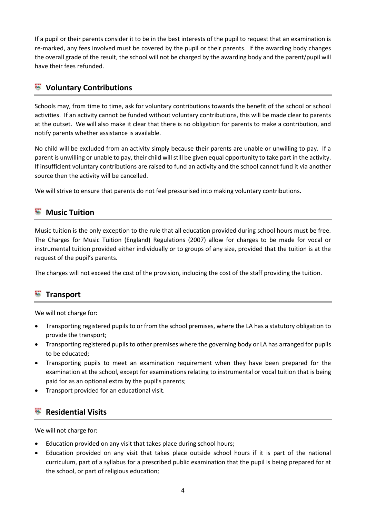If a pupil or their parents consider it to be in the best interests of the pupil to request that an examination is re-marked, any fees involved must be covered by the pupil or their parents. If the awarding body changes the overall grade of the result, the school will not be charged by the awarding body and the parent/pupil will have their fees refunded.

# **Voluntary Contributions**

Schools may, from time to time, ask for voluntary contributions towards the benefit of the school or school activities. If an activity cannot be funded without voluntary contributions, this will be made clear to parents at the outset. We will also make it clear that there is no obligation for parents to make a contribution, and notify parents whether assistance is available.

No child will be excluded from an activity simply because their parents are unable or unwilling to pay. If a parent is unwilling or unable to pay, their child will still be given equal opportunity to take part in the activity. If insufficient voluntary contributions are raised to fund an activity and the school cannot fund it via another source then the activity will be cancelled.

We will strive to ensure that parents do not feel pressurised into making voluntary contributions.

## **Music Tuition**

Music tuition is the only exception to the rule that all education provided during school hours must be free. The Charges for Music Tuition (England) Regulations (2007) allow for charges to be made for vocal or instrumental tuition provided either individually or to groups of any size, provided that the tuition is at the request of the pupil's parents.

The charges will not exceed the cost of the provision, including the cost of the staff providing the tuition.

# **Transport**

We will not charge for:

- Transporting registered pupils to or from the school premises, where the LA has a statutory obligation to provide the transport;
- Transporting registered pupils to other premises where the governing body or LA has arranged for pupils to be educated;
- Transporting pupils to meet an examination requirement when they have been prepared for the examination at the school, except for examinations relating to instrumental or vocal tuition that is being paid for as an optional extra by the pupil's parents;
- Transport provided for an educational visit.

## **Residential Visits**

We will not charge for:

- Education provided on any visit that takes place during school hours;
- Education provided on any visit that takes place outside school hours if it is part of the national curriculum, part of a syllabus for a prescribed public examination that the pupil is being prepared for at the school, or part of religious education;